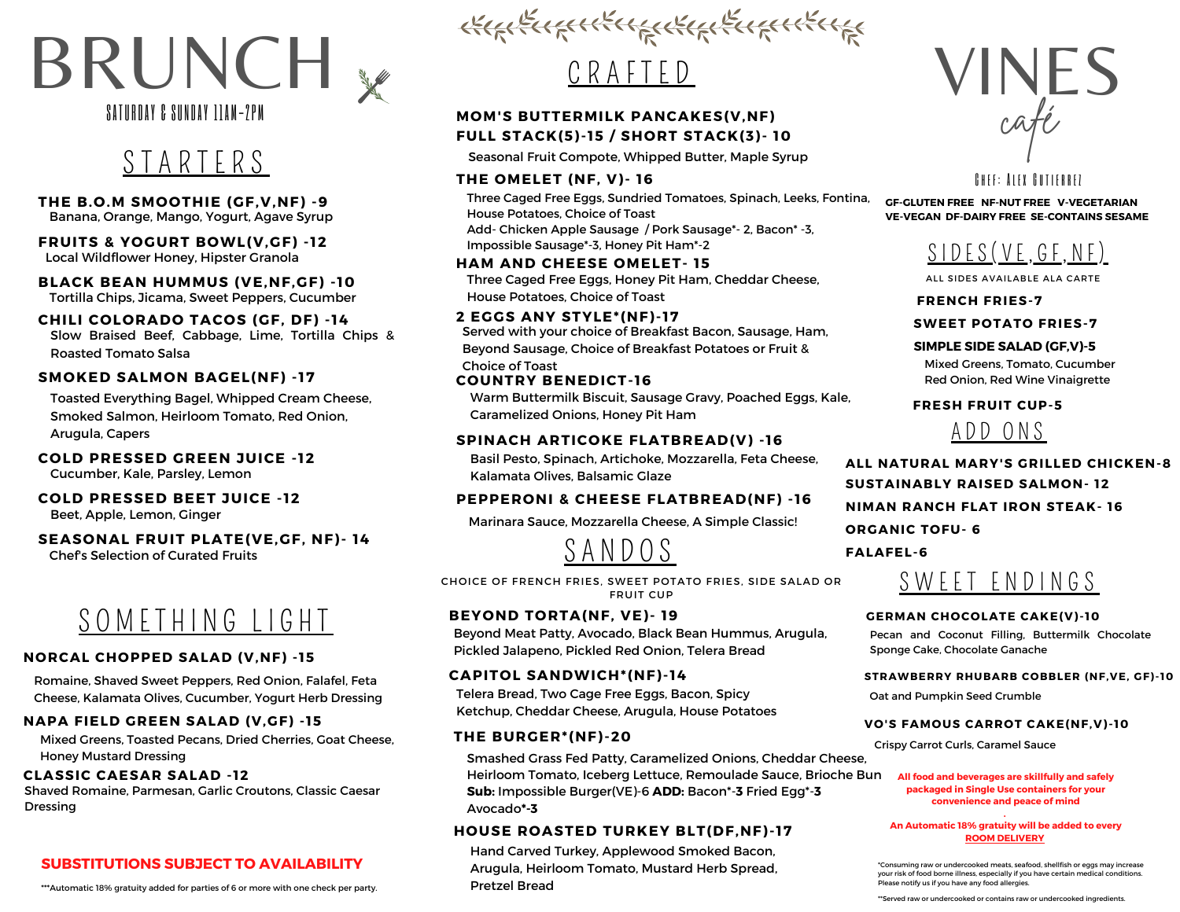# BRUNCH<sub>V</sub> SATURDAY & SUNDAY 1 1AM-2PM

## S T A R T E R S

**THE B.O.M SMOOTHIE (GF,V,NF) -9** Banana, Orange, Mango, Yogurt, Agave Syrup

**FRUITS & YOGURT BOWL(V,GF) - 12** Local Wildflower Honey, Hipster Granola

**BLACK BEAN HUMMUS (VE,NF,GF) - 10** Tortilla Chips, Jicama, Sweet Peppers, Cucumber

**CHILI COLORADO TACOS (GF, DF) - 14** Slow Braised Beef, Cabbage, Lime, Tortilla Chips & Roasted Tomato Salsa

#### **SMOKED SALMON BAGEL(NF) - 17**

Toasted Everything Bagel, Whipped Cream Cheese, Smoked Salmon, Heirloom Tomato, Red Onion, Arugula, Capers

**COLD PRESSED GREEN JUICE - 12** Cucumber, Kale, Parsley, Lemon

**COLD PRESSED BEET JUICE - 12** Beet, Apple, Lemon, Ginger

**SEASONAL FRUIT PLATE(VE,GF, NF)- 14** Chef's Selection of Curated Fruits

## SOMETHING LIGHT

#### **NORCAL CHOPPED SALAD (V,NF) - 15**

Romaine, Shaved Sweet Peppers, Red Onion, Falafel, Feta Cheese, Kalamata Olives, Cucumber, Yogurt Herb Dressing

#### **NAPA FIELD GREEN SALAD (V,GF) - 15**

Mixed Greens, Toasted Pecans, Dried Cherries, Goat Cheese, Honey Mustard Dressing

**CLASSIC CAESAR SALAD - 12**

Shaved Romaine, Parmesan, Garlic Croutons, Classic Caesar Dressing

#### **SUBSTITUTIONS SUBJECT TO AVAILABILITY**

\*\*\*Automatic 18% gratuity added for parties of 6 or more with one check per party.

## \*\*\*\*\*\*\*\*\*\*\*\*\*\*\*\*\*\*\*\*\*\*\*\*\* C R A F T E D

#### **MOM'S BUTTERMILK PANCAKES(V,NF) FULL STACK(5)- 15 / SHORT STACK(3)- 10**

Seasonal Fruit Compote, Whipped Butter, Maple Syrup

#### **THE OMELET (NF, V)- 16**

Three Caged Free Eggs, Sundried Tomatoes, Spinach, Leeks, Fontina, House Potatoes, Choice of Toast Add- Chicken Apple Sausage / Pork Sausage\*- 2, Bacon\* -3, Impossible Sausage\*-3, Honey Pit Ham\*-2

**HAM AND CHEESE OMELET- 15** Three Caged Free Eggs, Honey Pit Ham, Cheddar Cheese, House Potatoes, Choice of Toast

#### **2 EGGS ANY STYLE\*(NF)- 17** Served with your choice of Breakfast Bacon, Sausage, Ham, Beyond Sausage, Choice of Breakfast Potatoes or Fruit & Choice of Toast **COUNTRY BENEDICT- 16**

Warm Buttermilk Biscuit, Sausage Gravy, Poached Eggs, Kale, Caramelized Onions, Honey Pit Ham

#### **SPINACH ARTICOKE FLATBREAD(V) - 16**

Basil Pesto, Spinach, Artichoke, Mozzarella, Feta Cheese, Kalamata Olives, Balsamic Glaze

#### **PEPPERONI & CHEESE FLATBREAD(NF) - 16**

Marinara Sauce, Mozzarella Cheese, A Simple Classic!



CHOICE OF FRENCH FRIES, SWEET POTATO FRIES, SIDE SALAD OR FRUIT CUP

#### **BEYOND TORTA(NF, VE)- 19**

Beyond Meat Patty, Avocado, Black Bean Hummus, Arugula, Pickled Jalapeno, Pickled Red Onion, Telera Bread

#### **CAPITOL SANDWICH\*(NF)- 14**

Telera Bread, Two Cage Free Eggs, Bacon, Spicy Ketchup, Cheddar Cheese, Arugula, House Potatoes

#### **THE BURGER\*(NF)-20**

Smashed Grass Fed Patty, Caramelized Onions, Cheddar Cheese, Heirloom Tomato, Iceberg Lettuce, Remoulade Sauce, Brioche Bun **Sub:** Impossible Burger(VE)-6 **ADD:** Bacon\*-**3** Fried Egg\*-**3** Avocado**\*-3**

#### **HOUSE ROASTED TURKEY BLT(DF,NF)- 17**

Hand Carved Turkey, Applewood Smoked Bacon, Arugula, Heirloom Tomato, Mustard Herb Spread, Pretzel Bread



**CHFF: AIFX GUTIFRRFT** 

**GF-GLUTEN FREE NF-NUT FREE V-VEGETARIAN VE-VEGAN DF-DAIRY FREE SE-CONTAINS SESAME**



ALL SIDES AVAILABLE ALA CARTE

**FRENCH FRIES-7**

**SWEET POTATO FRIES-7**

**SIMPLE SIDE SALAD (GF,V)-5**

Mixed Greens, Tomato, Cucumber Red Onion, Red Wine Vinaigrette

**FRESH FRUIT CUP-5**



**SUSTAINABLY RAISED SALMON- 12 ORGANIC TOFU- 6 ALL NATURAL MARY'S GRILLED CHICKEN-8 NIMAN RANCH FLAT IRON STEAK- 16**

**FALAFEL-6**



#### **GERMAN CHOCOLATE CAKE(V)- 10**

Pecan and Coconut Filling, Buttermilk Chocolate Sponge Cake, Chocolate Ganache

#### **STRAWBERRY RHUBARB COBBLER (NF,VE, GF)- 10**

Oat and Pumpkin Seed Crumble

#### **VO'S FAMOUS CARROT CAKE(NF,V)- 10**

Crispy Carrot Curls, Caramel Sauce

**All food and beverages are skillfully and safely packaged in Single Use containers for your convenience and peace of mind**

**. An Automatic 18% gratuity will be added to every ROOM DELIVERY**

\*Consuming raw or undercooked meats, seafood, shellfish or eggs may increase your risk of food borne illness, especially if you have certain medical conditions. Please notify us if you have any food allergies.